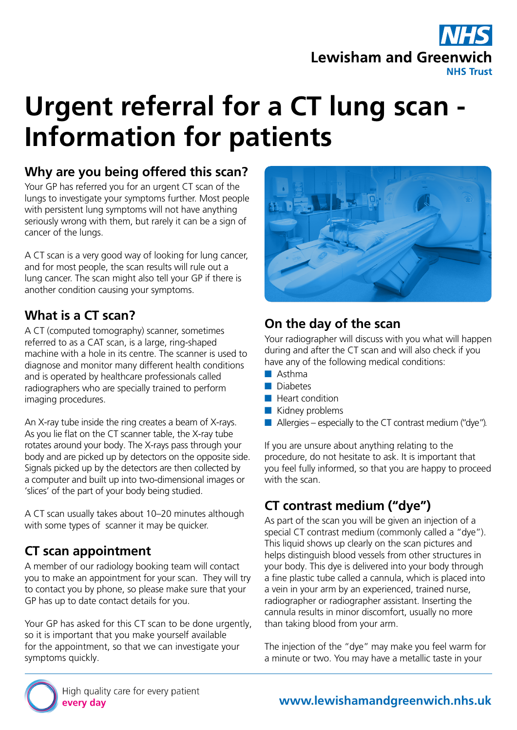## **Lewisham and Greenwich NHS Trust**

# **Urgent referral for a CT lung scan - Information for patients**

### **Why are you being offered this scan?**

Your GP has referred you for an urgent CT scan of the lungs to investigate your symptoms further. Most people with persistent lung symptoms will not have anything seriously wrong with them, but rarely it can be a sign of cancer of the lungs.

A CT scan is a very good way of looking for lung cancer, and for most people, the scan results will rule out a lung cancer. The scan might also tell your GP if there is another condition causing your symptoms.

## **What is a CT scan?**

A CT (computed tomography) scanner, sometimes referred to as a CAT scan, is a large, ring-shaped machine with a hole in its centre. The scanner is used to diagnose and monitor many different health conditions and is operated by healthcare professionals called radiographers who are specially trained to perform imaging procedures.

An X-ray tube inside the ring creates a beam of X-rays. As you lie flat on the CT scanner table, the X-ray tube rotates around your body. The X-rays pass through your body and are picked up by detectors on the opposite side. Signals picked up by the detectors are then collected by a computer and built up into two-dimensional images or 'slices' of the part of your body being studied.

A CT scan usually takes about 10–20 minutes although with some types of scanner it may be quicker.

## **CT scan appointment**

A member of our radiology booking team will contact you to make an appointment for your scan. They will try to contact you by phone, so please make sure that your GP has up to date contact details for you.

Your GP has asked for this CT scan to be done urgently. so it is important that you make yourself available for the appointment, so that we can investigate your symptoms quickly.



## **On the day of the scan**

Your radiographer will discuss with you what will happen during and after the CT scan and will also check if you have any of the following medical conditions:

- Asthma
- Diabetes
- Heart condition
- Kidney problems
- $\blacksquare$  Allergies especially to the CT contrast medium ("dye").

If you are unsure about anything relating to the procedure, do not hesitate to ask. It is important that you feel fully informed, so that you are happy to proceed with the scan.

## **CT contrast medium ("dye")**

As part of the scan you will be given an injection of a special CT contrast medium (commonly called a "dye"). This liquid shows up clearly on the scan pictures and helps distinguish blood vessels from other structures in your body. This dye is delivered into your body through a fine plastic tube called a cannula, which is placed into a vein in your arm by an experienced, trained nurse, radiographer or radiographer assistant. Inserting the cannula results in minor discomfort, usually no more than taking blood from your arm.

The injection of the "dye" may make you feel warm for a minute or two. You may have a metallic taste in your